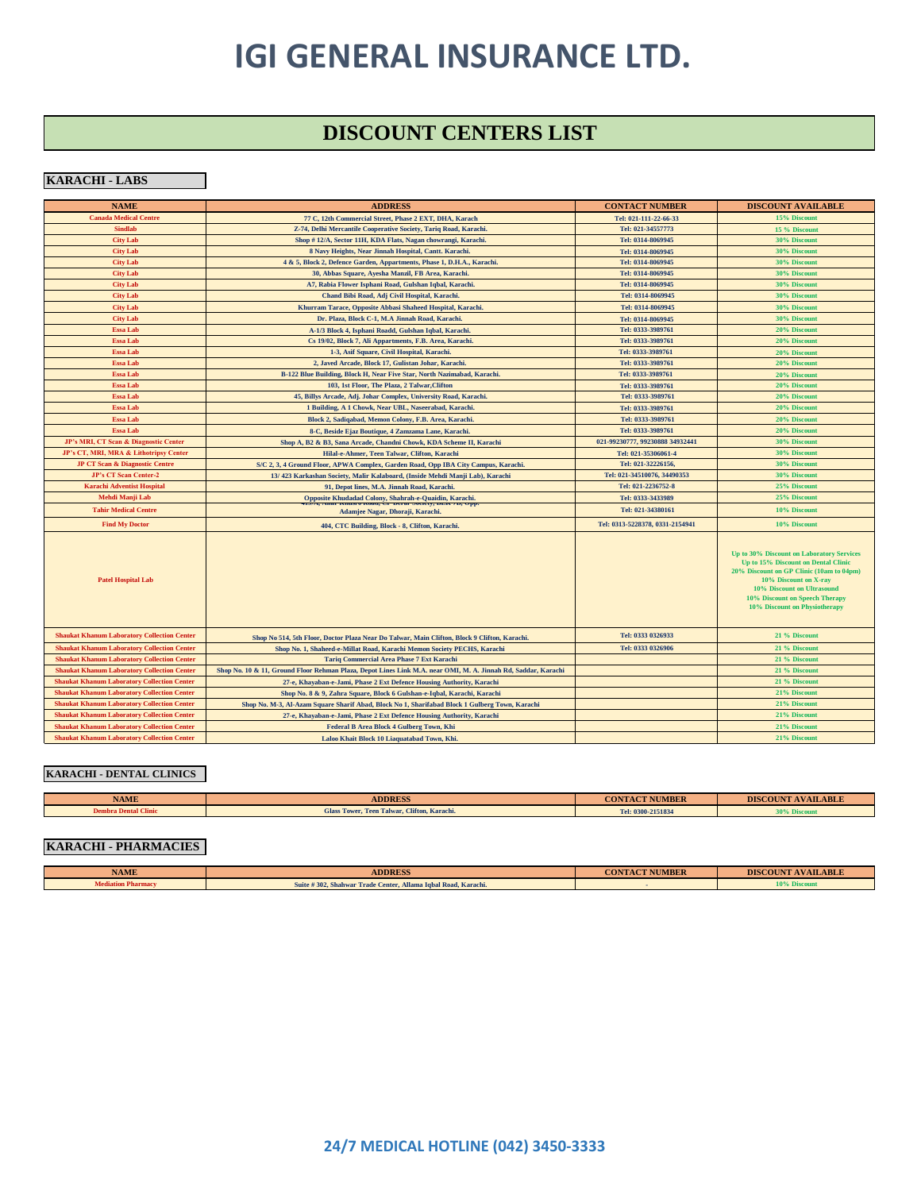### **DISCOUNT CENTERS LIST**

#### **KARACHI - LABS**

| <b>NAME</b>                                        | <b>ADDRESS</b>                                                                                                | <b>CONTACT NUMBER</b>           | <b>DISCOUNT AVAILABLE</b>                                                                                                                                                                                                                              |
|----------------------------------------------------|---------------------------------------------------------------------------------------------------------------|---------------------------------|--------------------------------------------------------------------------------------------------------------------------------------------------------------------------------------------------------------------------------------------------------|
| <b>Canada Medical Centre</b>                       | 77 C, 12th Commercial Street, Phase 2 EXT, DHA, Karach                                                        | Tel: 021-111-22-66-33           | 15% Discount                                                                                                                                                                                                                                           |
| <b>Sindlab</b>                                     | Z-74, Delhi Mercantile Cooperative Society, Tariq Road, Karachi.                                              | Tel: 021-34557773               | 15 % Discount                                                                                                                                                                                                                                          |
| <b>City Lab</b>                                    | Shop #12/A, Sector 11H, KDA Flats, Nagan chowrangi, Karachi.                                                  | Tel: 0314-8069945               | 30% Discount                                                                                                                                                                                                                                           |
| <b>City Lab</b>                                    | 8 Navy Heights, Near Jinnah Hospital, Cantt. Karachi.                                                         | Tel: 0314-8069945               | 30% Discount                                                                                                                                                                                                                                           |
| <b>City Lab</b>                                    | 4 & 5, Block 2, Defence Garden, Appartments, Phase 1, D.H.A., Karachi.                                        | Tel: 0314-8069945               | 30% Discount                                                                                                                                                                                                                                           |
| <b>City Lab</b>                                    | 30, Abbas Square, Ayesha Manzil, FB Area, Karachi.                                                            | Tel: 0314-8069945               | 30% Discount                                                                                                                                                                                                                                           |
| <b>City Lab</b>                                    | A7, Rabia Flower Isphani Road, Gulshan Iqbal, Karachi.                                                        | Tel: 0314-8069945               | 30% Discount                                                                                                                                                                                                                                           |
| <b>City Lab</b>                                    | Chand Bibi Road, Adj Civil Hospital, Karachi.                                                                 | Tel: 0314-8069945               | 30% Discount                                                                                                                                                                                                                                           |
| <b>City Lab</b>                                    | Khurram Tarace, Opposite Abbasi Shaheed Hospital, Karachi.                                                    | Tel: 0314-8069945               | 30% Discount                                                                                                                                                                                                                                           |
| <b>City Lab</b>                                    | Dr. Plaza, Block C-1, M.A Jinnah Road, Karachi.                                                               | Tel: 0314-8069945               | <b>30% Discount</b>                                                                                                                                                                                                                                    |
| <b>Essa Lab</b>                                    | A-1/3 Block 4, Isphani Roadd, Gulshan Iqbal, Karachi.                                                         | Tel: 0333-3989761               | 20% Discount                                                                                                                                                                                                                                           |
| <b>Essa Lab</b>                                    | Cs 19/02, Block 7, Ali Appartments, F.B. Area, Karachi.                                                       | Tel: 0333-3989761               | 20% Discount                                                                                                                                                                                                                                           |
| <b>Essa Lab</b>                                    | 1-3, Asif Square, Civil Hospital, Karachi.                                                                    | Tel: 0333-3989761               | 20% Discount                                                                                                                                                                                                                                           |
| <b>Essa Lab</b>                                    | 2, Javed Arcade, Block 17, Gulistan Johar, Karachi.                                                           | Tel: 0333-3989761               | 20% Discount                                                                                                                                                                                                                                           |
| <b>Essa Lab</b>                                    | B-122 Blue Building, Block H, Near Five Star, North Nazimabad, Karachi.                                       | Tel: 0333-3989761               | 20% Discount                                                                                                                                                                                                                                           |
| <b>Essa Lab</b>                                    | 103, 1st Floor, The Plaza, 2 Talwar, Clifton                                                                  | Tel: 0333-3989761               | 20% Discount                                                                                                                                                                                                                                           |
| <b>Essa Lab</b>                                    | 45, Billys Arcade, Adj. Johar Complex, University Road, Karachi.                                              | Tel: 0333-3989761               | 20% Discount                                                                                                                                                                                                                                           |
| <b>Essa Lab</b>                                    | 1 Building, A 1 Chowk, Near UBL, Naseerabad, Karachi.                                                         | Tel: 0333-3989761               | 20% Discount                                                                                                                                                                                                                                           |
| <b>Essa Lab</b>                                    | Block 2, Sadiqabad, Memon Colony, F.B. Area, Karachi.                                                         | Tel: 0333-3989761               | 20% Discount                                                                                                                                                                                                                                           |
| <b>Essa Lab</b>                                    | 8-C, Beside Ejaz Boutique, 4 Zamzama Lane, Karachi.                                                           | Tel: 0333-3989761               | 20% Discount                                                                                                                                                                                                                                           |
| JP's MRI, CT Scan & Diagnostic Center              | Shop A, B2 & B3, Sana Arcade, Chandni Chowk, KDA Scheme II, Karachi                                           | 021-99230777, 99230888 34932441 | 30% Discount                                                                                                                                                                                                                                           |
| JP's CT, MRI, MRA & Lithotripsy Center             | Hilal-e-Ahmer, Teen Talwar, Clifton, Karachi                                                                  | Tel: 021-35306061-4             | 30% Discount                                                                                                                                                                                                                                           |
| <b>JP CT Scan &amp; Diagnostic Centre</b>          | S/C 2, 3, 4 Ground Floor, APWA Complex, Garden Road, Opp IBA City Campus, Karachi.                            | Tel: 021-32226156.              | <b>30% Discount</b>                                                                                                                                                                                                                                    |
| JP's CT Scan Center-2                              | 13/423 Karkashan Society, Malir Kalaboard, (Inside Mehdi Manji Lab), Karachi                                  | Tel: 021-34510076, 34490353     | 30% Discount                                                                                                                                                                                                                                           |
| <b>Karachi Adventist Hospital</b>                  | 91, Depot lines, M.A. Jinnah Road, Karachi.                                                                   | Tel: 021-2236752-8              | 25% Discount                                                                                                                                                                                                                                           |
| Mehdi Manji Lab                                    | Opposite Khudadad Colony, Shahrah-e-Quaidin, Karachi.                                                         | Tel: 0333-3433989               | 25% Discount                                                                                                                                                                                                                                           |
| <b>Tahir Medical Centre</b>                        | Adamjee Nagar, Dhoraji, Karachi.                                                                              | Tel: 021-34380161               | 10% Discount                                                                                                                                                                                                                                           |
| <b>Find My Doctor</b>                              | 404, CTC Building, Block - 8, Clifton, Karachi.                                                               | Tel: 0313-5228378, 0331-2154941 | 10% Discount                                                                                                                                                                                                                                           |
| <b>Patel Hospital Lab</b>                          |                                                                                                               |                                 | Up to 30% Discount on Laboratory Services<br>Up to 15% Discount on Dental Clinic<br>20% Discount on GP Clinic (10am to 04pm)<br>10% Discount on X-ray<br>10% Discount on Ultrasound<br>10% Discount on Speech Therapy<br>10% Discount on Physiotherapy |
| <b>Shaukat Khanum Laboratory Collection Center</b> | Shop No 514, 5th Floor, Doctor Plaza Near Do Talwar, Main Clifton, Block 9 Clifton, Karachi.                  | Tel: 0333 0326933               | 21 % Discount                                                                                                                                                                                                                                          |
| <b>Shaukat Khanum Laboratory Collection Center</b> | Shop No. 1, Shaheed-e-Millat Road, Karachi Memon Society PECHS, Karachi                                       | Tel: 0333 0326906               | 21 % Discount                                                                                                                                                                                                                                          |
| <b>Shaukat Khanum Laboratory Collection Center</b> | <b>Tariq Commercial Area Phase 7 Ext Karachi</b>                                                              |                                 | 21 % Discount                                                                                                                                                                                                                                          |
| <b>Shaukat Khanum Laboratory Collection Center</b> | Shop No. 10 & 11, Ground Floor Rehman Plaza, Depot Lines Link M.A. near OMI, M. A. Jinnah Rd, Saddar, Karachi |                                 | 21 % Discount                                                                                                                                                                                                                                          |
| <b>Shaukat Khanum Laboratory Collection Center</b> | 27-e, Khayaban-e-Jami, Phase 2 Ext Defence Housing Authority, Karachi                                         |                                 | 21 % Discount                                                                                                                                                                                                                                          |
| <b>Shaukat Khanum Laboratory Collection Center</b> | Shop No. 8 & 9, Zahra Square, Block 6 Gulshan-e-Iqbal, Karachi, Karachi                                       |                                 | 21% Discount                                                                                                                                                                                                                                           |
| <b>Shaukat Khanum Laboratory Collection Center</b> | Shop No. M-3, Al-Azam Square Sharif Abad, Block No 1, Sharifabad Block 1 Gulberg Town, Karachi                |                                 | 21% Discount                                                                                                                                                                                                                                           |
| <b>Shaukat Khanum Laboratory Collection Center</b> | 27-e, Khayaban-e-Jami, Phase 2 Ext Defence Housing Authority, Karachi                                         |                                 | 21% Discount                                                                                                                                                                                                                                           |
| <b>Shaukat Khanum Laboratory Collection Center</b> | Federal B Area Block 4 Gulberg Town, Khi                                                                      |                                 | 21% Discount                                                                                                                                                                                                                                           |
| <b>Shaukat Khanum Laboratory Collection Center</b> | Laloo Khait Block 10 Liaquatabad Town, Khi.                                                                   |                                 | 21% Discount                                                                                                                                                                                                                                           |

#### **KARACHI - DENTAL CLINICS**

| <b>NAME</b>                 | <b>ADDRESS</b>                              | <b>CONTACT NUMBER</b> | <b>DISCOUNT AVAILABLE</b> |
|-----------------------------|---------------------------------------------|-----------------------|---------------------------|
| <b>Dembra Dental Clinic</b> | Glass Tower, Teen Talwar, Clifton, Karachi. | Tel: 0300-2151834     | <b>MIXO DISCOUTIL</b>     |

### **KARACHI - PHARMACIES**

| <b>NAME</b> | <b>ADDRESS</b>                                                | <b>CONTACT NUMBER</b> | <b>AVAILABLE</b><br><b>DISCOUNT</b> |
|-------------|---------------------------------------------------------------|-----------------------|-------------------------------------|
|             | Suite #302, Shahwar Trade Center, Allama Igbal Road, Karachi. |                       | 10% Discom                          |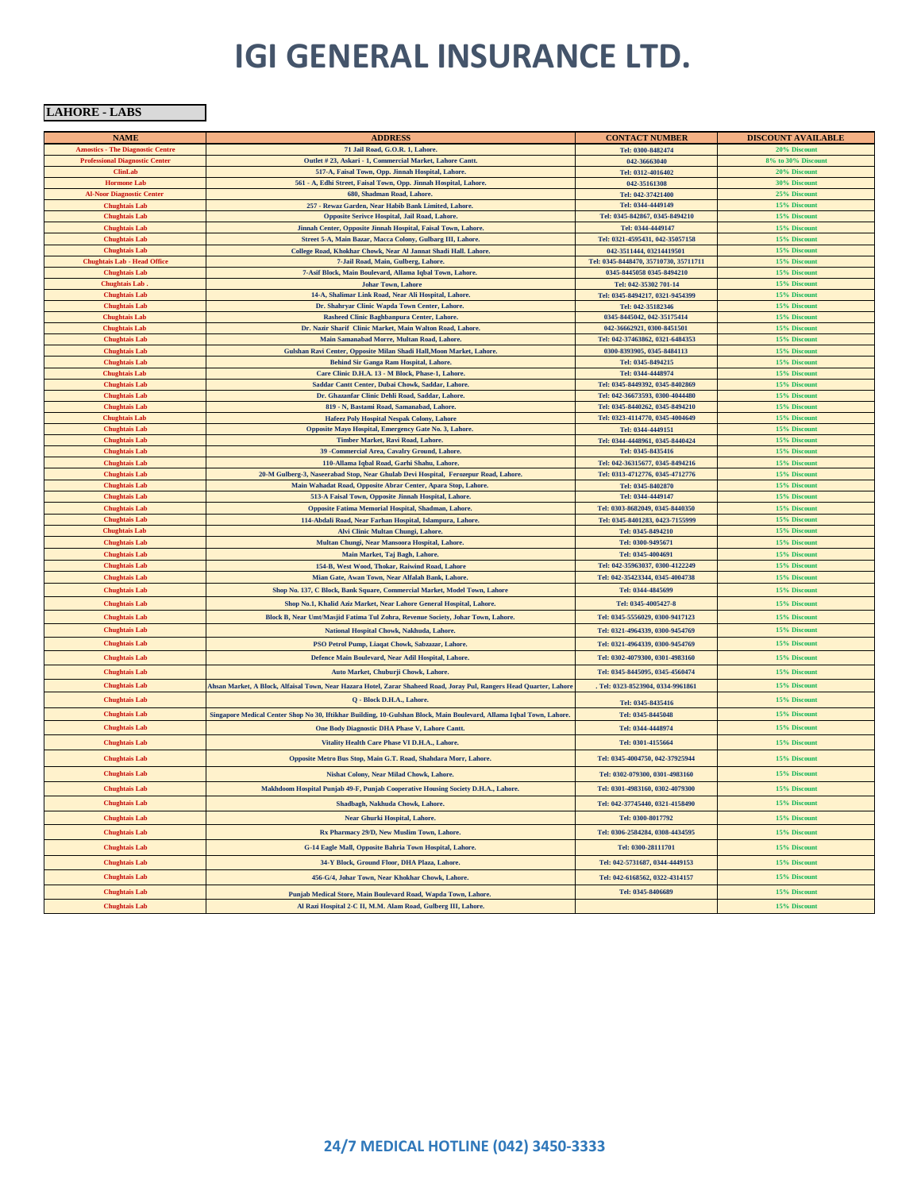**LAHORE - LABS** 

| <b>NAME</b>                                  | <b>ADDRESS</b>                                                                                                                                       | <b>CONTACT NUMBER</b>                               | <b>DISCOUNT AVAILABLE</b>    |
|----------------------------------------------|------------------------------------------------------------------------------------------------------------------------------------------------------|-----------------------------------------------------|------------------------------|
| <b>Aznostics - The Diagnostic Centre</b>     | 71 Jail Road, G.O.R. 1, Lahore.                                                                                                                      | Tel: 0300-8482474                                   | 20% Discount                 |
| <b>Professional Diagnostic Center</b>        | Outlet #23, Askari - 1, Commercial Market, Lahore Cantt.                                                                                             | 042-36663040                                        | 8% to 30% Discount           |
| <b>ClinLab</b>                               | 517-A, Faisal Town, Opp. Jinnah Hospital, Lahore.                                                                                                    | Tel: 0312-4016402                                   | 20% Discount                 |
| <b>Hormone Lab</b>                           | 561 - A, Edhi Street, Faisal Town, Opp. Jinnah Hospital, Lahore.                                                                                     | 042-35161308                                        | 30% Discount                 |
| <b>Al-Noor Diagnostic Center</b>             | 680, Shadman Road, Lahore.                                                                                                                           | Tel: 042-37421400                                   | 25% Discount                 |
| <b>Chughtais Lab</b><br><b>Chughtais Lab</b> | 257 - Rewaz Garden, Near Habib Bank Limited, Lahore.<br>Opposite Serivce Hospital, Jail Road, Lahore.                                                | Tel: 0344-4449149<br>Tel: 0345-842867, 0345-8494210 | 15% Discount                 |
| <b>Chughtais Lab</b>                         | Jinnah Center, Opposite Jinnah Hospital, Faisal Town, Lahore.                                                                                        | Tel: 0344-4449147                                   | 15% Discount<br>15% Discount |
| <b>Chughtais Lab</b>                         | Street 5-A, Main Bazar, Macca Colony, Gulbarg III, Lahore.                                                                                           | Tel: 0321-4595431, 042-35057158                     | 15% Discount                 |
| <b>Chughtais Lab</b>                         | College Road, Khokhar Chowk, Near Al Jannat Shadi Hall. Lahore.                                                                                      | 042-3511444, 03214419501                            | 15% Discount                 |
| <b>Chughtais Lab - Head Office</b>           | 7-Jail Road, Main, Gulberg, Lahore.                                                                                                                  | Tel: 0345-8448470, 35710730, 35711711               | 15% Discount                 |
| <b>Chughtais Lab</b>                         | 7-Asif Block, Main Boulevard, Allama Iqbal Town, Lahore.                                                                                             | 0345-8445058 0345-8494210                           | 15% Discount                 |
| <b>Chughtais Lab</b>                         | <b>Johar Town, Lahore</b>                                                                                                                            | Tel: 042-35302 701-14                               | 15% Discount                 |
| <b>Chughtais Lab</b>                         | 14-A, Shalimar Link Road, Near Ali Hospital, Lahore.                                                                                                 | Tel: 0345-8494217, 0321-9454399                     | 15% Discount                 |
| <b>Chughtais Lab</b>                         | Dr. Shahryar Clinic Wapda Town Center, Lahore.                                                                                                       | Tel: 042-35182346                                   | 15% Discount                 |
| <b>Chughtais Lab</b>                         | Rasheed Clinic Baghbanpura Center, Lahore.                                                                                                           | 0345-8445042, 042-35175414                          | 15% Discount                 |
| <b>Chughtais Lab</b>                         | Dr. Nazir Sharif Clinic Market, Main Walton Road, Lahore.                                                                                            | 042-36662921, 0300-8451501                          | 15% Discount                 |
| <b>Chughtais Lab</b>                         | Main Samanabad Morre, Multan Road, Lahore.                                                                                                           | Tel: 042-37463862, 0321-6484353                     | 15% Discount                 |
| <b>Chughtais Lab</b><br><b>Chughtais Lab</b> | Gulshan Ravi Center, Opposite Milan Shadi Hall, Moon Market, Lahore.<br>Behind Sir Ganga Ram Hospital, Lahore.                                       | 0300-8393905, 0345-8484113<br>Tel: 0345-8494215     | 15% Discount<br>15% Discount |
| <b>Chughtais Lab</b>                         | Care Clinic D.H.A. 13 - M Block, Phase-1, Lahore.                                                                                                    | Tel: 0344-4448974                                   | 15% Discount                 |
| <b>Chughtais Lab</b>                         | Saddar Cantt Center, Dubai Chowk, Saddar, Lahore.                                                                                                    | Tel: 0345-8449392, 0345-8402869                     | 15% Discount                 |
| <b>Chughtais Lab</b>                         | Dr. Ghazanfar Clinic Dehli Road, Saddar, Lahore.                                                                                                     | Tel: 042-36673593, 0300-4044480                     | 15% Discount                 |
| <b>Chughtais Lab</b>                         | 819 - N, Bastami Road, Samanabad, Lahore.                                                                                                            | Tel: 0345-8440262, 0345-8494210                     | 15% Discount                 |
| <b>Chughtais Lab</b>                         | Hafeez Poly Hospital Nespak Colony, Lahore                                                                                                           | Tel: 0323-4114770, 0345-4004649                     | 15% Discount                 |
| <b>Chughtais Lab</b>                         | Opposite Mayo Hospital, Emergency Gate No. 3, Lahore.                                                                                                | Tel: 0344-4449151                                   | 15% Discount                 |
| <b>Chughtais Lab</b>                         | Timber Market, Ravi Road, Lahore.                                                                                                                    | Tel: 0344-4448961, 0345-8440424                     | 15% Discount                 |
| <b>Chughtais Lab</b>                         | 39 - Commercial Area, Cavalry Ground, Lahore.                                                                                                        | Tel: 0345-8435416                                   | 15% Discount                 |
| <b>Chughtais Lab</b>                         | 110-Allama Iqbal Road, Garhi Shahu, Lahore.                                                                                                          | Tel: 042-36315677, 0345-8494216                     | 15% Discount                 |
| <b>Chughtais Lab</b><br><b>Chughtais Lab</b> | 20-M Gulberg-3, Naseerabad Stop, Near Ghulab Devi Hospital, Ferozepur Road, Lahore.<br>Main Wahadat Road, Opposite Abrar Center, Apara Stop, Lahore. | Tel: 0313-4712776, 0345-4712776                     | 15% Discount<br>15% Discount |
| <b>Chughtais Lab</b>                         | 513-A Faisal Town, Opposite Jinnah Hospital, Lahore.                                                                                                 | Tel: 0345-8402870<br>Tel: 0344-4449147              | 15% Discount                 |
| <b>Chughtais Lab</b>                         | Opposite Fatima Memorial Hospital, Shadman, Lahore.                                                                                                  | Tel: 0303-8682049, 0345-8440350                     | 15% Discount                 |
| <b>Chughtais Lab</b>                         | 114-Abdali Road, Near Farhan Hospital, Islampura, Lahore.                                                                                            | Tel: 0345-8401283, 0423-7155999                     | 15% Discount                 |
| <b>Chughtais Lab</b>                         | Alvi Clinic Multan Chungi, Lahore.                                                                                                                   | Tel: 0345-8494210                                   | 15% Discount                 |
| <b>Chughtais Lab</b>                         | Multan Chungi, Near Mansoora Hospital, Lahore.                                                                                                       | Tel: 0300-9495671                                   | 15% Discount                 |
| <b>Chughtais Lab</b>                         | Main Market, Taj Bagh, Lahore.                                                                                                                       | Tel: 0345-4004691                                   | 15% Discount                 |
| <b>Chughtais Lab</b>                         | 154-B, West Wood, Thokar, Raiwind Road, Lahore                                                                                                       | Tel: 042-35963037, 0300-4122249                     | 15% Discount                 |
| <b>Chughtais Lab</b>                         | Mian Gate, Awan Town, Near Alfalah Bank, Lahore.                                                                                                     | Tel: 042-35423344, 0345-4004738                     | 15% Discount                 |
| <b>Chughtais Lab</b>                         | Shop No. 137, C Block, Bank Square, Commercial Market, Model Town, Lahore                                                                            | Tel: 0344-4845699                                   | 15% Discount                 |
| <b>Chughtais Lab</b>                         | Shop No.1, Khalid Aziz Market, Near Lahore General Hospital, Lahore.                                                                                 | Tel: 0345-4005427-8                                 | 15% Discount                 |
| <b>Chughtais Lab</b>                         | Block B, Near Umt/Masjid Fatima Tul Zohra, Revenue Society, Johar Town, Lahore.                                                                      | Tel: 0345-5556029, 0300-9417123                     | 15% Discount                 |
| <b>Chughtais Lab</b>                         | National Hospital Chowk, Nakhuda, Lahore.                                                                                                            | Tel: 0321-4964339, 0300-9454769                     | 15% Discount                 |
| <b>Chughtais Lab</b>                         | PSO Petrol Pump, Liaqat Chowk, Sabzazar, Lahore.                                                                                                     | Tel: 0321-4964339, 0300-9454769                     | 15% Discount                 |
| <b>Chughtais Lab</b>                         | Defence Main Boulevard, Near Adil Hospital, Lahore.                                                                                                  | Tel: 0302-4079300, 0301-4983160                     | 15% Discount                 |
|                                              |                                                                                                                                                      |                                                     |                              |
| <b>Chughtais Lab</b>                         | Auto Market, Chuburji Chowk, Lahore.                                                                                                                 | Tel: 0345-8445095, 0345-4560474                     | 15% Discount                 |
| <b>Chughtais Lab</b>                         | Ahsan Market, A Block, Alfaisal Town, Near Hazara Hotel, Zarar Shaheed Road, Joray Pul, Rangers Head Quarter, Lahor                                  | Tel: 0323-8523904, 0334-9961861                     | 15% Discount                 |
| <b>Chughtais Lab</b>                         | Q - Block D.H.A., Lahore.                                                                                                                            | Tel: 0345-8435416                                   | 15% Discount                 |
| <b>Chughtais Lab</b>                         | Singapore Medical Center Shop No 30, Iftikhar Building, 10-Gulshan Block, Main Boulevard, Allama Iqbal Town, Lahore.                                 | Tel: 0345-8445048                                   | 15% Discount                 |
| <b>Chughtais Lab</b>                         | One Body Diagnostic DHA Phase V, Lahore Cantt.                                                                                                       | Tel: 0344-4448974                                   | 15% Discount                 |
| <b>Chughtais Lab</b>                         | Vitality Health Care Phase VI D.H.A., Lahore.                                                                                                        | Tel: 0301-4155664                                   | 15% Discount                 |
| <b>Chughtais Lab</b>                         | Opposite Metro Bus Stop, Main G.T. Road, Shahdara Morr, Lahore.                                                                                      | Tel: 0345-4004750, 042-37925944                     | 15% Discount                 |
|                                              |                                                                                                                                                      |                                                     |                              |
| <b>Chughtais Lab</b>                         | Nishat Colony, Near Milad Chowk, Lahore.                                                                                                             | Tel: 0302-079300, 0301-4983160                      | 15% Discount                 |
| <b>Chughtais Lab</b>                         | Makhdoom Hospital Punjab 49-F, Punjab Cooperative Housing Society D.H.A., Lahore.                                                                    | Tel: 0301-4983160, 0302-4079300                     | 15% Discount                 |
| <b>Chughtais Lab</b>                         | Shadbagh, Nakhuda Chowk, Lahore.                                                                                                                     | Tel: 042-37745440, 0321-4158490                     | 15% Discount                 |
| <b>Chughtais Lab</b>                         | Near Ghurki Hospital, Lahore.                                                                                                                        | Tel: 0300-8017792                                   | 15% Discount                 |
| <b>Chughtais Lab</b>                         | Rx Pharmacy 29/D, New Muslim Town, Lahore.                                                                                                           | Tel: 0306-2584284, 0308-4434595                     | 15% Discount                 |
|                                              |                                                                                                                                                      |                                                     |                              |
| <b>Chughtais Lab</b>                         | G-14 Eagle Mall, Opposite Bahria Town Hospital, Lahore.                                                                                              | Tel: 0300-28111701                                  | 15% Discount                 |
| <b>Chughtais Lab</b>                         | 34-Y Block, Ground Floor, DHA Plaza, Lahore.                                                                                                         | Tel: 042-5731687, 0344-4449153                      | 15% Discount                 |
| <b>Chughtais Lab</b>                         | 456-G/4, Johar Town, Near Khokhar Chowk, Lahore.                                                                                                     | Tel: 042-6168562, 0322-4314157                      | 15% Discount                 |
| <b>Chughtais Lab</b>                         | Punjab Medical Store, Main Boulevard Road, Wapda Town, Lahore.                                                                                       | Tel: 0345-8406689                                   | 15% Discount                 |
| <b>Chughtais Lab</b>                         | Al Razi Hospital 2-C II, M.M. Alam Road, Gulberg III, Lahore.                                                                                        |                                                     | 15% Discount                 |
|                                              |                                                                                                                                                      |                                                     |                              |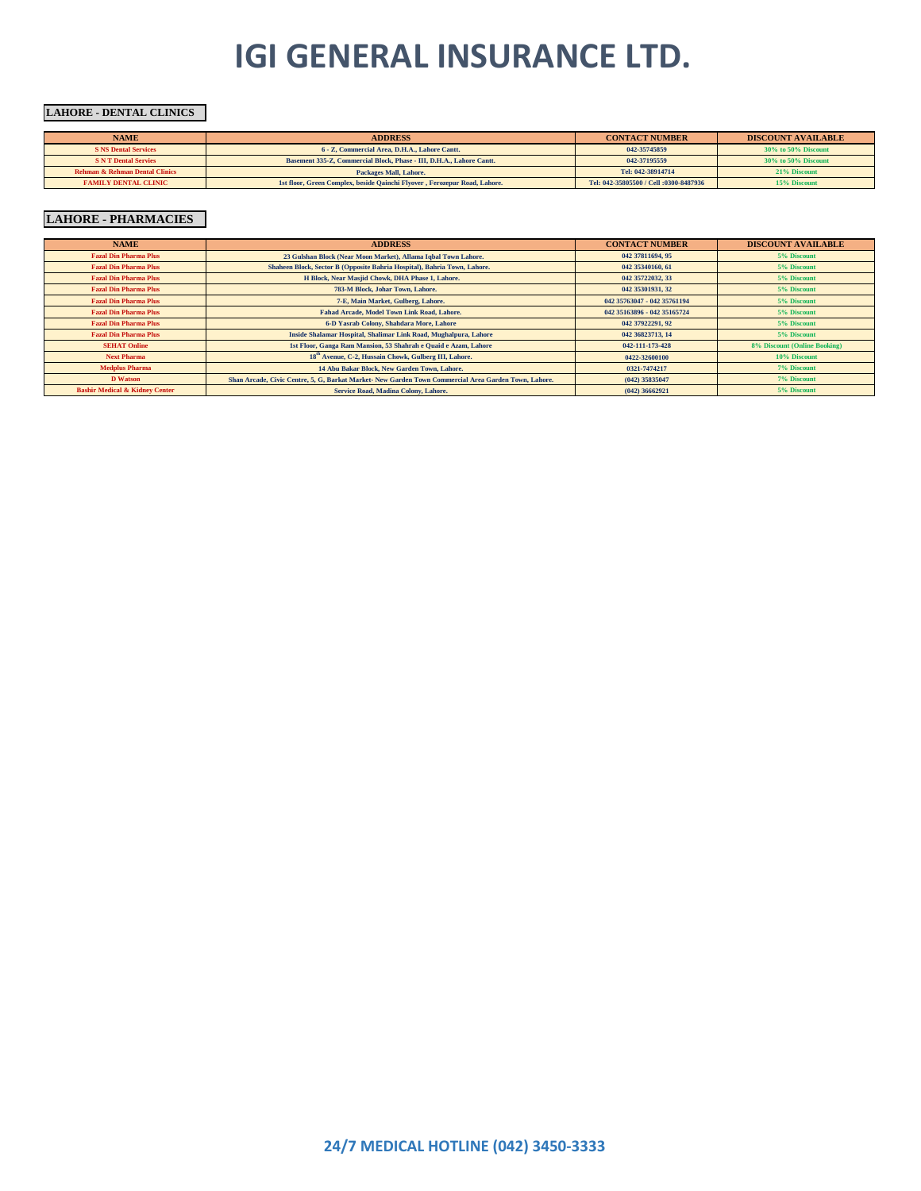#### **LAHORE - DENTAL CLINICS**

| <b>NAME</b>                               | <b>ADDRESS</b>                                                            | <b>CONTACT NUMBER</b>                  | <b>DISCOUNT AVAILABLE</b> |
|-------------------------------------------|---------------------------------------------------------------------------|----------------------------------------|---------------------------|
| <b>S NS Dental Services</b>               | 6 - Z. Commercial Area, D.H.A., Lahore Cantt.                             | 042-35745859                           | $30\%$ to $50\%$ Discount |
| <b>S N T Dental Servies</b>               | Basement 335-Z, Commercial Block, Phase - III, D.H.A., Lahore Cantt.      | 042-37195559                           | $30\%$ to $50\%$ Discount |
| <b>Rehman &amp; Rehman Dental Clinics</b> | <b>Packages Mall, Lahore.</b>                                             | Tel: 042-38914714                      | 21% Discount              |
| <b>FAMILY DENTAL CLINIC</b>               | 1st floor, Green Complex, beside Qainchi Flyover, Ferozepur Road, Lahore. | Tel: 042-35805500 / Cell :0300-8487936 | 15% Discount              |

### **LAHORE - PHARMACIES**

| <b>NAME</b>                               | <b>ADDRESS</b>                                                                                      | <b>CONTACT NUMBER</b>       | <b>DISCOUNT AVAILABLE</b>    |
|-------------------------------------------|-----------------------------------------------------------------------------------------------------|-----------------------------|------------------------------|
| <b>Fazal Din Pharma Plus</b>              | 23 Gulshan Block (Near Moon Market), Allama Iqbal Town Lahore.                                      | 042 37811694, 95            | 5% Discount                  |
| <b>Fazal Din Pharma Plus</b>              | Shaheen Block, Sector B (Opposite Bahria Hospital), Bahria Town, Lahore.                            | 042 35340160, 61            | 5% Discount                  |
| <b>Fazal Din Pharma Plus</b>              | H Block, Near Masjid Chowk, DHA Phase 1, Lahore.                                                    | 042 35722032, 33            | 5% Discount                  |
| <b>Fazal Din Pharma Plus</b>              | 783-M Block, Johar Town, Lahore.                                                                    | 042 35301931, 32            | 5% Discount                  |
| <b>Fazal Din Pharma Plus</b>              | 7-E. Main Market, Gulberg, Lahore.                                                                  | 042 35763047 - 042 35761194 | 5% Discount                  |
| <b>Fazal Din Pharma Plus</b>              | Fahad Arcade, Model Town Link Road, Lahore.                                                         | 042 35163896 - 042 35165724 | 5% Discount                  |
| <b>Fazal Din Pharma Plus</b>              | 6-D Yasrab Colony, Shahdara More, Lahore                                                            | 042 37922291, 92            | 5% Discount                  |
| <b>Fazal Din Pharma Plus</b>              | Inside Shalamar Hospital, Shalimar Link Road, Mughalpura, Lahore                                    | 042 36823713, 14            | 5% Discount                  |
| <b>SEHAT Online</b>                       | 1st Floor, Ganga Ram Mansion, 53 Shahrah e Quaid e Azam, Lahore                                     | 042-111-173-428             | 8% Discount (Online Booking) |
| <b>Next Pharma</b>                        | 18 <sup>th</sup> Avenue, C-2, Hussain Chowk, Gulberg III, Lahore.                                   | 0422-32600100               | 10% Discount                 |
| <b>Medplus Pharma</b>                     | 14 Abu Bakar Block, New Garden Town, Lahore.                                                        | 0321-7474217                | 7% Discount                  |
| <b>D</b> Watson                           | Shan Arcade, Civic Centre, 5, G, Barkat Market New Garden Town Commercial Area Garden Town, Lahore. | $(042)$ 35835047            | <b>7% Discount</b>           |
| <b>Bashir Medical &amp; Kidney Center</b> | Service Road, Madina Colony, Lahore.                                                                | $(042)$ 36662921            | 5% Discount                  |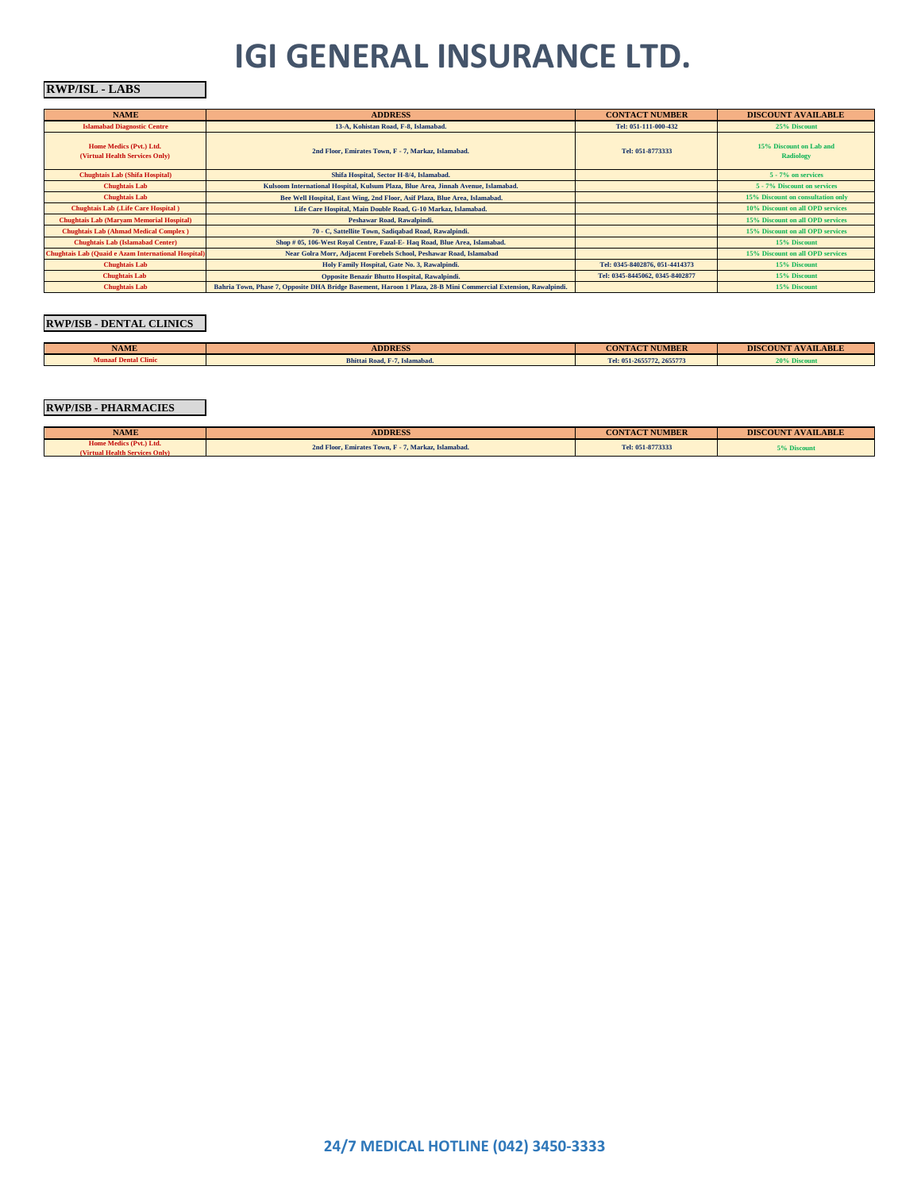#### **RWP/ISL - LABS**

| <b>NAME</b>                                                | <b>ADDRESS</b>                                                                                                  | <b>CONTACT NUMBER</b>           | <b>DISCOUNT AVAILABLE</b>                   |
|------------------------------------------------------------|-----------------------------------------------------------------------------------------------------------------|---------------------------------|---------------------------------------------|
| <b>Islamabad Diagnostic Centre</b>                         | 13-A, Kohistan Road, F-8, Islamabad.                                                                            | Tel: 051-111-000-432            | 25% Discount                                |
| Home Medics (Pvt.) Ltd.<br>(Virtual Health Services Only)  | 2nd Floor, Emirates Town, F - 7, Markaz, Islamabad.                                                             | Tel: 051-8773333                | 15% Discount on Lah and<br><b>Radiology</b> |
| <b>Chughtais Lab (Shifa Hospital)</b>                      | Shifa Hospital, Sector H-8/4, Islamabad.                                                                        |                                 | 5 - 7% on services                          |
| <b>Chughtais Lab</b>                                       | Kulsoom International Hospital, Kulsum Plaza, Blue Area, Jinnah Avenue, Islamabad.                              |                                 | 5 - 7% Discount on services                 |
| <b>Chughtais Lab</b>                                       | Bee Well Hospital, East Wing, 2nd Floor, Asif Plaza, Blue Area, Islamabad.                                      |                                 | 15% Discount on consultation only           |
| <b>Chughtais Lab (Life Care Hospital)</b>                  | Life Care Hospital, Main Double Road, G-10 Markaz, Islamabad.                                                   |                                 | 10% Discount on all OPD services            |
| <b>Chughtais Lab (Maryam Memorial Hospital)</b>            | Peshawar Road, Rawalpindi.                                                                                      |                                 | 15% Discount on all OPD services            |
| <b>Chughtais Lab (Ahmad Medical Complex)</b>               | 70 - C, Sattellite Town, Sadiqabad Road, Rawalpindi.                                                            |                                 | 15% Discount on all OPD services            |
| <b>Chughtais Lab (Islamabad Center)</b>                    | Shop # 05, 106-West Royal Centre, Fazal-E-Haq Road, Blue Area, Islamabad.                                       |                                 | 15% Discount                                |
| <b>Chughtais Lab (Quaid e Azam International Hospital)</b> | Near Golra Morr, Adjacent Forebels School, Peshawar Road, Islamabad                                             |                                 | 15% Discount on all OPD services            |
| <b>Chughtais Lab</b>                                       | Holy Family Hospital, Gate No. 3, Rawalpindi.                                                                   | Tel: 0345-8402876, 051-4414373  | 15% Discount                                |
| <b>Chughtais Lab</b>                                       | Opposite Benazir Bhutto Hospital, Rawalpindi.                                                                   | Tel: 0345-8445062, 0345-8402877 | 15% Discount                                |
| <b>Chughtais Lab</b>                                       | Bahria Town, Phase 7, Opposite DHA Bridge Basement, Haroon 1 Plaza, 28-B Mini Commercial Extension, Rawalpindi. |                                 | 15% Discount                                |

#### **RWP/ISB - DENTAL CLINICS**

| <b>NAME</b>                 | <b>ADDRESS</b>                | <b>CONTACT NUMBER</b>     | <b>DISCOUNT AVAILABLE</b> |
|-----------------------------|-------------------------------|---------------------------|---------------------------|
| <b>Munaaf Dental Clinic</b> | Bhittai Road, F-7, Islamabad, | Tel: 051-2655772, 2655773 | <b>NAME OF DISCOULS</b>   |
|                             |                               |                           |                           |

#### **RWP/ISB - PHARMACIES**

| <b>NAME</b>                                                    | <b>ADDRESS</b>                                      | <b>CONTACT NUMBER</b> | <b>DISCOUNT AVAILABLE</b> |
|----------------------------------------------------------------|-----------------------------------------------------|-----------------------|---------------------------|
| Home Medics (Pvt.) Ltd.<br><b>Virtual Health Services Only</b> | 2nd Floor, Emirates Town, F - 7, Markaz, Islamabad. | Tel: 051-8773333      | 5% Discount               |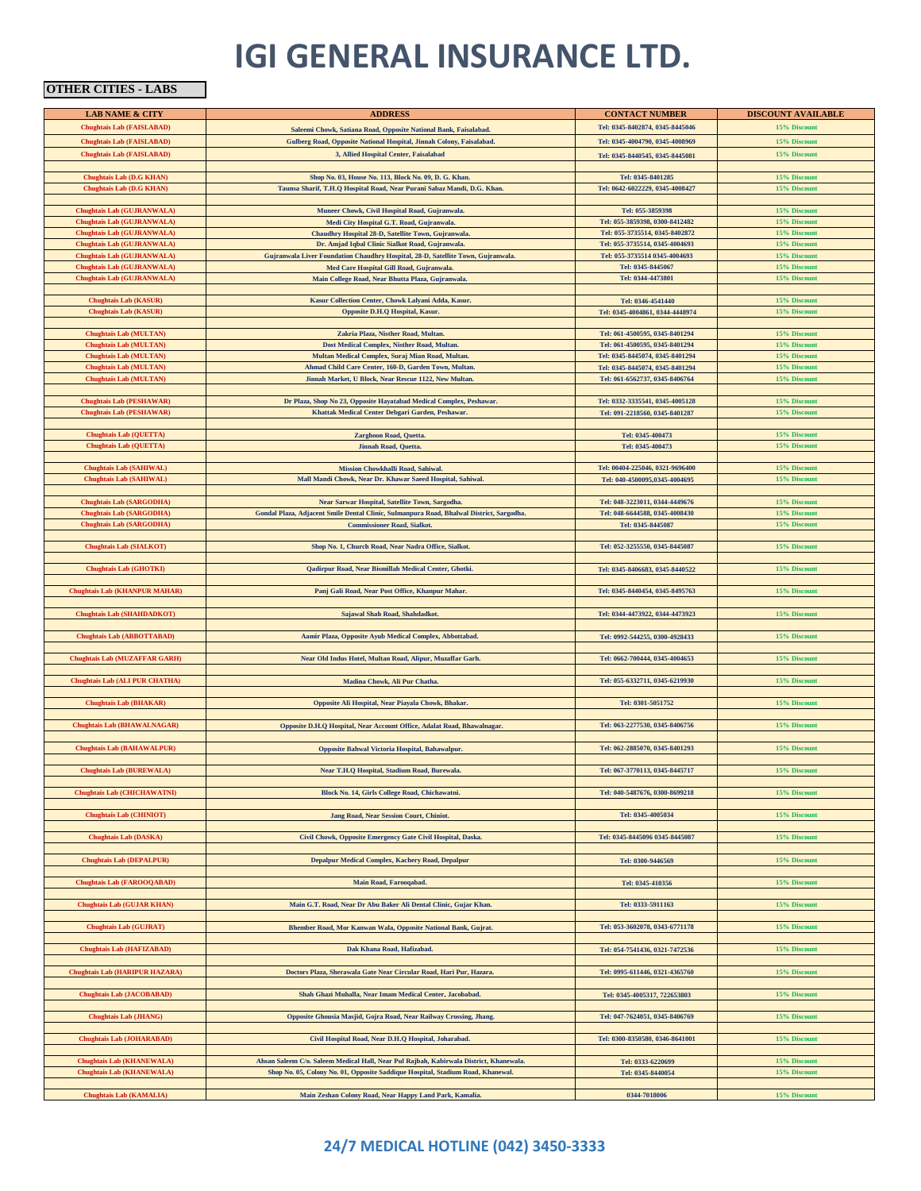### **OTHER CITIES - LABS**

| <b>LAB NAME &amp; CITY</b>            | <b>ADDRESS</b>                                                                           | <b>CONTACT NUMBER</b>           | <b>DISCOUNT AVAILABLE</b>    |
|---------------------------------------|------------------------------------------------------------------------------------------|---------------------------------|------------------------------|
| <b>Chughtais Lab (FAISLABAD)</b>      | Saleemi Chowk, Satiana Road, Opposite National Bank, Faisalabad.                         | Tel: 0345-8402874, 0345-8445046 | 15% Discount                 |
| <b>Chughtais Lab (FAISLABAD)</b>      | Gulberg Road, Opposite National Hospital, Jinnah Colony, Faisalabad.                     | Tel: 0345-4004790, 0345-4008969 | 15% Discount                 |
|                                       |                                                                                          |                                 |                              |
| <b>Chughtais Lab (FAISLABAD)</b>      | 3, Allied Hospital Center, Faisalabad                                                    | Tel: 0345-8440545, 0345-8445081 | 15% Discount                 |
|                                       |                                                                                          |                                 |                              |
| <b>Chughtais Lab (D.G KHAN)</b>       | Shop No. 03, House No. 113, Block No. 09, D. G. Khan.                                    | Tel: 0345-8401285               | 15% Discount                 |
| Chughtais Lab (D.G KHAN)              | Taunsa Sharif, T.H.Q Hospital Road, Near Purani Sabaz Mandi, D.G. Khan.                  | Tel: 0642-6022229, 0345-4008427 | 15% Discount                 |
| <b>Chughtais Lab (GUJRANWALA)</b>     | Muneer Chowk, Civil Hospital Road, Gujranwala.                                           | Tel: 055-3859398                | 15% Discount                 |
| Chughtais Lab (GUJRANWALA)            | Medi City Hospital G.T. Road, Gujranwala.                                                | Tel: 055-3859398, 0300-8412482  | 15% Discount                 |
| Chughtais Lab (GUJRANWALA)            | Chaudhry Hospital 28-D, Satellite Town, Gujranwala.                                      | Tel: 055-3735514, 0345-8402872  | 15% Discount                 |
| Chughtais Lab (GUJRANWALA)            | Dr. Amjad Iqbal Clinic Sialkot Road, Gujranwala.                                         | Tel: 055-3735514, 0345-4004693  | 15% Discount                 |
| Chughtais Lab (GUJRANWALA)            | Gujranwala Liver Foundation Chaudhry Hospital, 28-D, Satellite Town, Gujranwala.         | Tel: 055-3735514 0345-4004693   | 15% Discount                 |
| Chughtais Lab (GUJRANWALA)            | Med Care Hospital Gill Road, Gujranwala.                                                 | Tel: 0345-8445067               | 15% Discount                 |
| Chughtais Lab (GUJRANWALA)            | Main College Road, Near Bhutta Plaza, Gujranwala.                                        | Tel: 0344-4473801               | 15% Discount                 |
|                                       |                                                                                          |                                 |                              |
| <b>Chughtais Lab (KASUR)</b>          | Kasur Collection Center, Chowk Lalyani Adda, Kasur.                                      | Tel: 0346-4541440               | 15% Discount                 |
| <b>Chughtais Lab (KASUR)</b>          | Opposite D.H.Q Hospital, Kasur.                                                          | Tel: 0345-4004861, 0344-4448974 | 15% Discount                 |
|                                       |                                                                                          |                                 |                              |
| <b>Chughtais Lab (MULTAN)</b>         | Zakria Plaza, Nisther Road, Multan.                                                      | Tel: 061-4500595, 0345-8401294  | 15% Discount                 |
| <b>Chughtais Lab (MULTAN)</b>         | Dost Medical Complex, Nisther Road, Multan.                                              | Tel: 061-4500595, 0345-8401294  | 15% Discount                 |
| <b>Chughtais Lab (MULTAN)</b>         | Multan Medical Complex, Suraj Mian Road, Multan.                                         | Tel: 0345-8445074, 0345-8401294 | 15% Discount                 |
| <b>Chughtais Lab (MULTAN)</b>         | Ahmad Child Care Center, 160-D, Garden Town, Multan.                                     | Tel: 0345-8445074, 0345-8401294 | 15% Discount                 |
| Chughtais Lab (MULTAN)                | Jinnah Market, U Block, Near Rescue 1122, New Multan.                                    | Tel: 061-6562737, 0345-8406764  | 15% Discount                 |
|                                       |                                                                                          |                                 |                              |
| <b>Chughtais Lab (PESHAWAR)</b>       | Dr Plaza, Shop No 23, Opposite Hayatabad Medical Complex, Peshawar.                      | Tel: 0332-3335541, 0345-4005128 | 15% Discount                 |
| <b>Chughtais Lab (PESHAWAR)</b>       | Khattak Medical Center Debgari Garden, Peshawar.                                         | Tel: 091-2218560, 0345-8401287  | 15% Discount                 |
|                                       |                                                                                          |                                 |                              |
| <b>Chughtais Lab (QUETTA)</b>         | Zarghoon Road, Quetta.                                                                   | Tel: 0345-400473                | 15% Discount<br>15% Discount |
| Chughtais Lab (QUETTA)                | Jinnah Road, Quetta.                                                                     | Tel: 0345-400473                |                              |
| <b>Chughtais Lab (SAHIWAL)</b>        | Mission Chowkhalli Road, Sahiwal.                                                        | Tel: 00404-225046, 0321-9696400 | 15% Discount                 |
| Chughtais Lab (SAHIWAL)               | Mall Mandi Chowk, Near Dr. Khawar Saeed Hospital, Sahiwal.                               | Tel: 040-4500095.0345-4004695   | 15% Discount                 |
|                                       |                                                                                          |                                 |                              |
| <b>Chughtais Lab (SARGODHA)</b>       | Near Sarwar Hospital, Satellite Town, Sargodha.                                          | Tel: 048-3223011, 0344-4449676  | 15% Discount                 |
| <b>Chughtais Lab (SARGODHA)</b>       | Gondal Plaza, Adjacent Smile Dental Clinic, Sulmanpura Road, Bhalwal District, Sargodha. | Tel: 048-6644588, 0345-4008430  | 15% Discount                 |
| <b>Chughtais Lab (SARGODHA)</b>       | <b>Commissioner Road, Sialkot.</b>                                                       | Tel: 0345-8445087               | 15% Discount                 |
|                                       |                                                                                          |                                 |                              |
| <b>Chughtais Lab (SIALKOT)</b>        | Shop No. 1, Church Road, Near Nadra Office, Sialkot.                                     | Tel: 052-3255550, 0345-8445087  | 15% Discount                 |
|                                       |                                                                                          |                                 |                              |
| <b>Chughtais Lab (GHOTKI)</b>         | Qadirpur Road, Near Bismillah Medical Center, Ghotki.                                    | Tel: 0345-8406683, 0345-8440522 | 15% Discount                 |
|                                       |                                                                                          |                                 |                              |
| <b>Chughtais Lab (KHANPUR MAHAR)</b>  | Panj Gali Road, Near Post Office, Khanpur Mahar.                                         | Tel: 0345-8440454, 0345-8495763 | 15% Discount                 |
| Chughtais Lab (SHAHDADKOT)            |                                                                                          |                                 | 15% Discount                 |
|                                       | Sajawal Shah Road, Shahdadkot.                                                           | Tel: 0344-4473922, 0344-4473923 |                              |
| <b>Chughtais Lab (ABBOTTABAD)</b>     | Aamir Plaza, Opposite Ayub Medical Complex, Abbottabad.                                  | Tel: 0992-544255, 0300-4928433  | 15% Discount                 |
|                                       |                                                                                          |                                 |                              |
| <b>Chughtais Lab (MUZAFFAR GARH)</b>  | Near Old Indus Hotel, Multan Road, Alipur, Muzaffar Garh.                                | Tel: 0662-700444, 0345-4004653  | 15% Discount                 |
|                                       |                                                                                          |                                 |                              |
| Chughtais Lab (ALI PUR CHATHA)        | Madina Chowk, Ali Pur Chatha.                                                            | Tel: 055-6332711, 0345-6219930  | 15% Discount                 |
|                                       |                                                                                          |                                 |                              |
| <b>Chughtais Lab (BHAKAR)</b>         | Opposite Ali Hospital, Near Piayala Chowk, Bhakar.                                       | Tel: 0301-5051752               | 15% Discount                 |
|                                       |                                                                                          |                                 |                              |
| <b>Chughtais Lab (BHAWALNAGAR)</b>    | Opposite D.H.Q Hospital, Near Account Office, Adalat Road, Bhawalnagar.                  | Tel: 063-2277530, 0345-8406756  | 15% Discount                 |
|                                       |                                                                                          |                                 |                              |
| <b>Chughtais Lab (BAHAWALPUR)</b>     | Opposite Bahwal Victoria Hospital, Bahawalpur.                                           | Tel: 062-2885070, 0345-8401293  | 15% Discount                 |
|                                       |                                                                                          |                                 |                              |
| <b>Chughtais Lab (BUREWALA)</b>       | Near T.H.Q Hospital, Stadium Road, Burewala.                                             | Tel: 067-3770113, 0345-8445717  | 15% Discount                 |
|                                       |                                                                                          |                                 |                              |
| Chughtais Lab (CHICHAWATNI)           | Block No. 14, Girls College Road, Chichawatni.                                           | Tel: 040-5487676, 0300-8699218  | 15% Discount                 |
| <b>Chughtais Lab (CHINIOT)</b>        | Jang Road, Near Session Court, Chiniot.                                                  | Tel: 0345-4005034               | 15% Discount                 |
|                                       |                                                                                          |                                 |                              |
| <b>Chughtais Lab (DASKA)</b>          | Civil Chowk, Opposite Emergency Gate Civil Hospital, Daska.                              | Tel: 0345-8445096 0345-8445087  | 15% Discount                 |
|                                       |                                                                                          |                                 |                              |
| <b>Chughtais Lab (DEPALPUR)</b>       | Depalpur Medical Complex, Kachery Road, Depalpur                                         | Tel: 0300-9446569               | 15% Discount                 |
|                                       |                                                                                          |                                 |                              |
| Chughtais Lab (FAROOQABAD)            | Main Road, Farooqabad.                                                                   | Tel: 0345-410356                | 15% Discount                 |
|                                       |                                                                                          |                                 |                              |
| <b>Chughtais Lab (GUJAR KHAN)</b>     | Main G.T. Road, Near Dr Abu Baker Ali Dental Clinic, Gujar Khan.                         | Tel: 0333-5911163               | 15% Discount                 |
|                                       |                                                                                          |                                 |                              |
| <b>Chughtais Lab (GUJRAT)</b>         | Bhember Road, Mor Kanwan Wala, Opposite National Bank, Gujrat.                           | Tel: 053-3602078, 0343-6771178  | 15% Discount                 |
|                                       |                                                                                          |                                 |                              |
| <b>Chughtais Lab (HAFIZABAD)</b>      | Dak Khana Road, Hafizabad.                                                               | Tel: 054-7541436, 0321-7472536  | 15% Discount                 |
| <b>Chughtais Lab (HARIPUR HAZARA)</b> | Doctors Plaza, Sherawala Gate Near Circular Road, Hari Pur, Hazara.                      | Tel: 0995-611446, 0321-4365760  | 15% Discount                 |
|                                       |                                                                                          |                                 |                              |
| <b>Chughtais Lab (JACOBABAD)</b>      | Shah Ghazi Muhalla, Near Imam Medical Center, Jacobabad.                                 | Tel: 0345-4005317, 722653803    | 15% Discount                 |
|                                       |                                                                                          |                                 |                              |
| <b>Chughtais Lab (JHANG)</b>          | Opposite Ghousia Masjid, Gojra Road, Near Railway Crossing, Jhang.                       | Tel: 047-7624051, 0345-8406769  | 15% Discount                 |
|                                       |                                                                                          |                                 |                              |
| <b>Chughtais Lab (JOHARABAD)</b>      | Civil Hospital Road, Near D.H.Q Hospital, Joharabad.                                     | Tel: 0300-8350580, 0346-8641001 | 15% Discount                 |
|                                       |                                                                                          |                                 |                              |
| <b>Chughtais Lab (KHANEWALA)</b>      | Ahsan Saleem C/o. Saleem Medical Hall, Near Pul Rajbah, Kabirwala District, Khanewala.   | Tel: 0333-6220699               | 15% Discount                 |
| <b>Chughtais Lab (KHANEWALA)</b>      | Shop No. 05, Colony No. 01, Opposite Saddique Hospital, Stadium Road, Khanewal.          | Tel: 0345-8440054               | 15% Discount                 |
|                                       |                                                                                          |                                 |                              |
| Chughtais Lab (KAMALIA)               | Main Zeshan Colony Road, Near Happy Land Park, Kamalia.                                  | 0344-7018006                    | 15% Discount                 |

### **24/7 MEDICAL HOTLINE (042) 3450-3333**